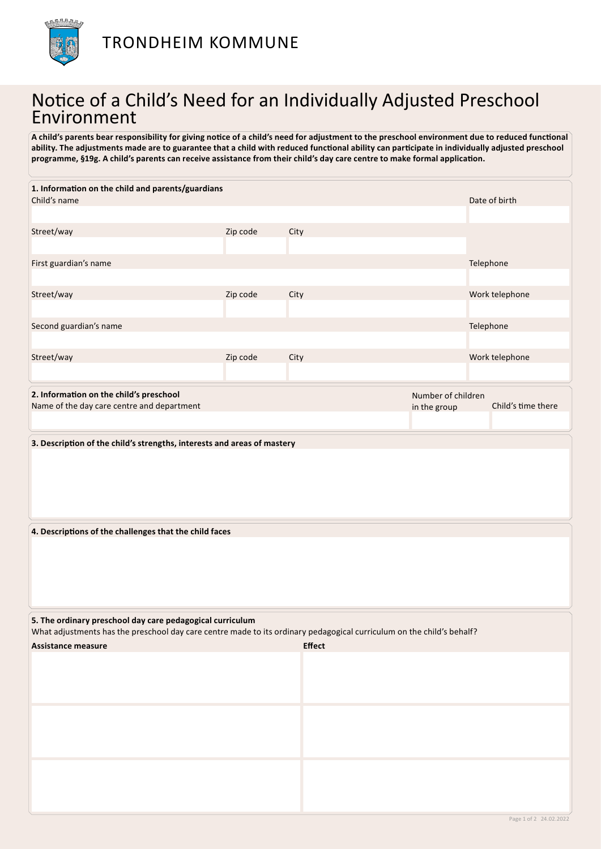

## Notice of a Child's Need for an Individually Adjusted Preschool Environment

**A child's parents bear responsibility for giving notice of a child's need for adjustment to the preschool environment due to reduced functional ability. The adjustments made are to guarantee that a child with reduced functional ability can participate in individually adjusted preschool programme, §19g. A child's parents can receive assistance from their child's day care centre to make formal application.**

| 1. Information on the child and parents/guardians                                                                                                                                  |          |               |                    |           |                    |  |  |  |
|------------------------------------------------------------------------------------------------------------------------------------------------------------------------------------|----------|---------------|--------------------|-----------|--------------------|--|--|--|
| Child's name                                                                                                                                                                       |          |               |                    |           | Date of birth      |  |  |  |
|                                                                                                                                                                                    |          |               |                    |           |                    |  |  |  |
| Street/way                                                                                                                                                                         | Zip code | City          |                    |           |                    |  |  |  |
| First guardian's name                                                                                                                                                              |          |               |                    | Telephone |                    |  |  |  |
|                                                                                                                                                                                    |          |               |                    |           |                    |  |  |  |
| Street/way                                                                                                                                                                         | Zip code | City          |                    |           | Work telephone     |  |  |  |
|                                                                                                                                                                                    |          |               |                    |           |                    |  |  |  |
| Second guardian's name                                                                                                                                                             |          |               |                    | Telephone |                    |  |  |  |
|                                                                                                                                                                                    |          |               |                    |           |                    |  |  |  |
| Street/way                                                                                                                                                                         | Zip code | City          |                    |           | Work telephone     |  |  |  |
| 2. Information on the child's preschool                                                                                                                                            |          |               | Number of children |           |                    |  |  |  |
| Name of the day care centre and department                                                                                                                                         |          |               | in the group       |           | Child's time there |  |  |  |
|                                                                                                                                                                                    |          |               |                    |           |                    |  |  |  |
| 3. Description of the child's strengths, interests and areas of mastery                                                                                                            |          |               |                    |           |                    |  |  |  |
|                                                                                                                                                                                    |          |               |                    |           |                    |  |  |  |
| 4. Descriptions of the challenges that the child faces                                                                                                                             |          |               |                    |           |                    |  |  |  |
|                                                                                                                                                                                    |          |               |                    |           |                    |  |  |  |
| 5. The ordinary preschool day care pedagogical curriculum<br>What adjustments has the preschool day care centre made to its ordinary pedagogical curriculum on the child's behalf? |          |               |                    |           |                    |  |  |  |
| <b>Assistance measure</b>                                                                                                                                                          |          | <b>Effect</b> |                    |           |                    |  |  |  |
|                                                                                                                                                                                    |          |               |                    |           |                    |  |  |  |
|                                                                                                                                                                                    |          |               |                    |           |                    |  |  |  |
|                                                                                                                                                                                    |          |               |                    |           |                    |  |  |  |